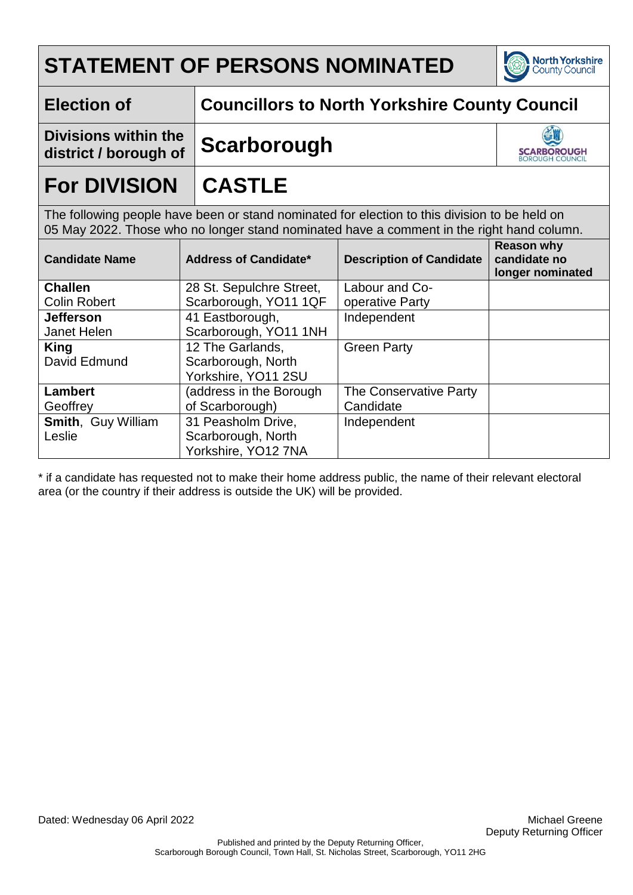

### **Election of Councillors to North Yorkshire County Council**

**Divisions within the district / borough of Scarborough**



## **For DIVISION CASTLE**

The following people have been or stand nominated for election to this division to be held on 05 May 2022. Those who no longer stand nominated have a comment in the right hand column.

| <b>Candidate Name</b>     | <b>Address of Candidate*</b> | <b>Description of Candidate</b> | <b>Reason why</b><br>candidate no<br>longer nominated |
|---------------------------|------------------------------|---------------------------------|-------------------------------------------------------|
| <b>Challen</b>            | 28 St. Sepulchre Street,     | Labour and Co-                  |                                                       |
| <b>Colin Robert</b>       | Scarborough, YO11 1QF        | operative Party                 |                                                       |
| <b>Jefferson</b>          | 41 Eastborough,              | Independent                     |                                                       |
| Janet Helen               | Scarborough, YO11 1NH        |                                 |                                                       |
| <b>King</b>               | 12 The Garlands,             | <b>Green Party</b>              |                                                       |
| David Edmund              | Scarborough, North           |                                 |                                                       |
|                           | Yorkshire, YO11 2SU          |                                 |                                                       |
| Lambert                   | (address in the Borough      | The Conservative Party          |                                                       |
| Geoffrey                  | of Scarborough)              | Candidate                       |                                                       |
| <b>Smith, Guy William</b> | 31 Peasholm Drive,           | Independent                     |                                                       |
| Leslie                    | Scarborough, North           |                                 |                                                       |
|                           | Yorkshire, YO12 7NA          |                                 |                                                       |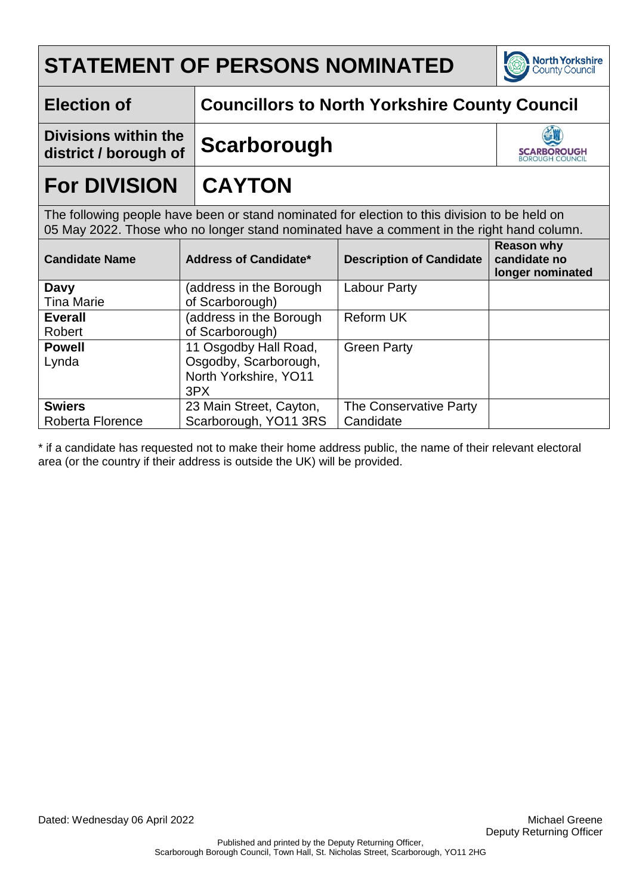

### **Election of Councillors to North Yorkshire County Council**

**Divisions within the district / borough of Scarborough**



## **For DIVISION CAYTON**

The following people have been or stand nominated for election to this division to be held on 05 May 2022. Those who no longer stand nominated have a comment in the right hand column.

| <b>Candidate Name</b> | Address of Candidate*   | <b>Description of Candidate</b> | <b>Reason why</b><br>candidate no<br>longer nominated |
|-----------------------|-------------------------|---------------------------------|-------------------------------------------------------|
| Davy                  | (address in the Borough | <b>Labour Party</b>             |                                                       |
| <b>Tina Marie</b>     | of Scarborough)         |                                 |                                                       |
| <b>Everall</b>        | (address in the Borough | <b>Reform UK</b>                |                                                       |
| Robert                | of Scarborough)         |                                 |                                                       |
| <b>Powell</b>         | 11 Osgodby Hall Road,   | <b>Green Party</b>              |                                                       |
| Lynda                 | Osgodby, Scarborough,   |                                 |                                                       |
|                       | North Yorkshire, YO11   |                                 |                                                       |
|                       | 3PX                     |                                 |                                                       |
| <b>Swiers</b>         | 23 Main Street, Cayton, | The Conservative Party          |                                                       |
| Roberta Florence      | Scarborough, YO11 3RS   | Candidate                       |                                                       |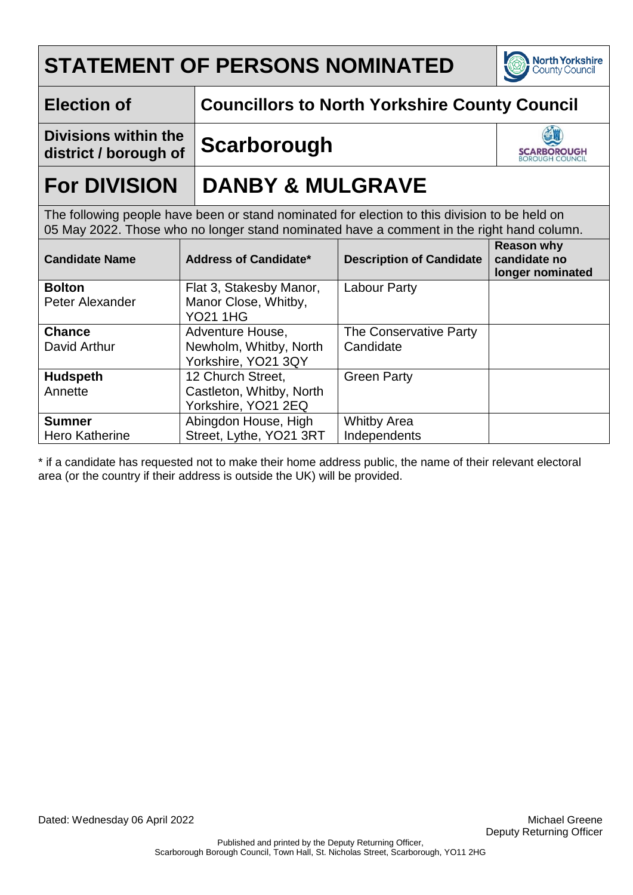

### **Election of Councillors to North Yorkshire County Council**

**Divisions within the district / borough of Scarborough**



## **For DIVISION DANBY & MULGRAVE**

The following people have been or stand nominated for election to this division to be held on 05 May 2022. Those who no longer stand nominated have a comment in the right hand column.

| <b>Candidate Name</b> | <b>Address of Candidate*</b> | <b>Description of Candidate</b> | <b>Reason why</b><br>candidate no<br>longer nominated |
|-----------------------|------------------------------|---------------------------------|-------------------------------------------------------|
| <b>Bolton</b>         | Flat 3, Stakesby Manor,      | Labour Party                    |                                                       |
| Peter Alexander       | Manor Close, Whitby,         |                                 |                                                       |
|                       | <b>YO21 1HG</b>              |                                 |                                                       |
| <b>Chance</b>         | Adventure House,             | The Conservative Party          |                                                       |
| David Arthur          | Newholm, Whitby, North       | Candidate                       |                                                       |
|                       | Yorkshire, YO21 3QY          |                                 |                                                       |
| <b>Hudspeth</b>       | 12 Church Street,            | <b>Green Party</b>              |                                                       |
| Annette               | Castleton, Whitby, North     |                                 |                                                       |
|                       | Yorkshire, YO21 2EQ          |                                 |                                                       |
| <b>Sumner</b>         | Abingdon House, High         | <b>Whitby Area</b>              |                                                       |
| <b>Hero Katherine</b> | Street, Lythe, YO21 3RT      | Independents                    |                                                       |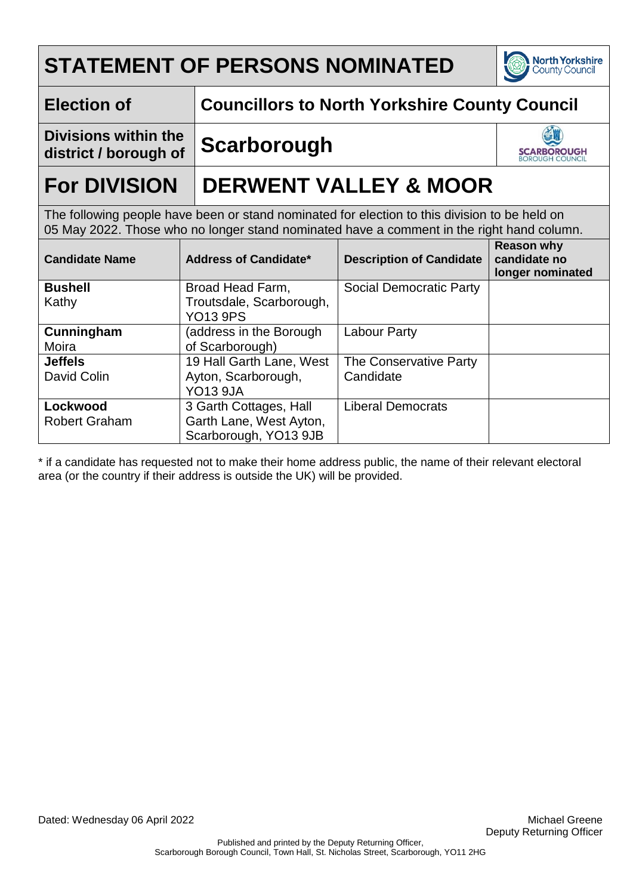

### **Election of Councillors to North Yorkshire County Council**

**Divisions within the district / borough of Scarborough**



## **For DIVISION DERWENT VALLEY & MOOR**

The following people have been or stand nominated for election to this division to be held on 05 May 2022. Those who no longer stand nominated have a comment in the right hand column.

| <b>Candidate Name</b> | <b>Address of Candidate*</b> | <b>Description of Candidate</b> | <b>Reason why</b><br>candidate no<br>longer nominated |
|-----------------------|------------------------------|---------------------------------|-------------------------------------------------------|
| <b>Bushell</b>        | Broad Head Farm,             | Social Democratic Party         |                                                       |
| Kathy                 | Troutsdale, Scarborough,     |                                 |                                                       |
|                       | <b>YO13 9PS</b>              |                                 |                                                       |
| Cunningham            | (address in the Borough      | <b>Labour Party</b>             |                                                       |
| Moira                 | of Scarborough)              |                                 |                                                       |
| <b>Jeffels</b>        | 19 Hall Garth Lane, West     | The Conservative Party          |                                                       |
| David Colin           | Ayton, Scarborough,          | Candidate                       |                                                       |
|                       | <b>YO13 9JA</b>              |                                 |                                                       |
| Lockwood              | 3 Garth Cottages, Hall       | <b>Liberal Democrats</b>        |                                                       |
| <b>Robert Graham</b>  | Garth Lane, West Ayton,      |                                 |                                                       |
|                       | Scarborough, YO13 9JB        |                                 |                                                       |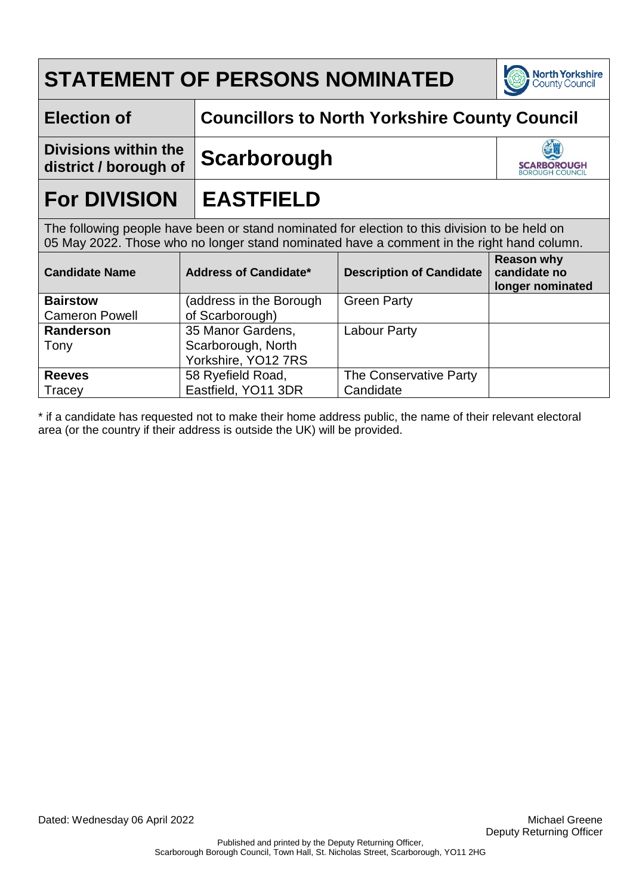

### **Election of Councillors to North Yorkshire County Council**

**Divisions within the district / borough of Scarborough**



## **For DIVISION EASTFIELD**

The following people have been or stand nominated for election to this division to be held on 05 May 2022. Those who no longer stand nominated have a comment in the right hand column.

| <b>Candidate Name</b> | <b>Address of Candidate*</b> | <b>Description of Candidate</b> | <b>Reason why</b><br>candidate no<br>longer nominated |
|-----------------------|------------------------------|---------------------------------|-------------------------------------------------------|
| <b>Bairstow</b>       | (address in the Borough      | <b>Green Party</b>              |                                                       |
| <b>Cameron Powell</b> | of Scarborough)              |                                 |                                                       |
| <b>Randerson</b>      | 35 Manor Gardens,            | <b>Labour Party</b>             |                                                       |
| Tony                  | Scarborough, North           |                                 |                                                       |
|                       | Yorkshire, YO12 7RS          |                                 |                                                       |
| <b>Reeves</b>         | 58 Ryefield Road,            | The Conservative Party          |                                                       |
| Tracey                | Eastfield, YO11 3DR          | Candidate                       |                                                       |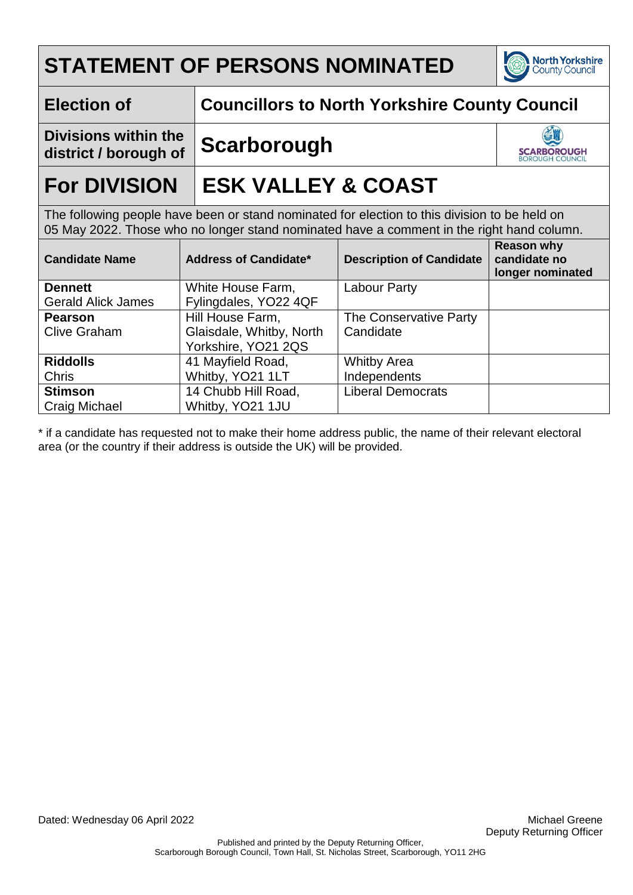

### **Election of Councillors to North Yorkshire County Council**

**Divisions within the district / borough of Scarborough**



## **For DIVISION ESK VALLEY & COAST**

The following people have been or stand nominated for election to this division to be held on 05 May 2022. Those who no longer stand nominated have a comment in the right hand column.

| <b>Candidate Name</b>     | <b>Address of Candidate*</b> | <b>Description of Candidate</b> | <b>Reason why</b><br>candidate no<br>longer nominated |
|---------------------------|------------------------------|---------------------------------|-------------------------------------------------------|
| <b>Dennett</b>            | White House Farm,            | <b>Labour Party</b>             |                                                       |
| <b>Gerald Alick James</b> | Fylingdales, YO22 4QF        |                                 |                                                       |
| <b>Pearson</b>            | Hill House Farm,             | The Conservative Party          |                                                       |
| <b>Clive Graham</b>       | Glaisdale, Whitby, North     | Candidate                       |                                                       |
|                           | Yorkshire, YO21 2QS          |                                 |                                                       |
| <b>Riddolls</b>           | 41 Mayfield Road,            | <b>Whitby Area</b>              |                                                       |
| <b>Chris</b>              | Whitby, YO21 1LT             | Independents                    |                                                       |
| <b>Stimson</b>            | 14 Chubb Hill Road,          | <b>Liberal Democrats</b>        |                                                       |
| Craig Michael             | Whitby, YO21 1JU             |                                 |                                                       |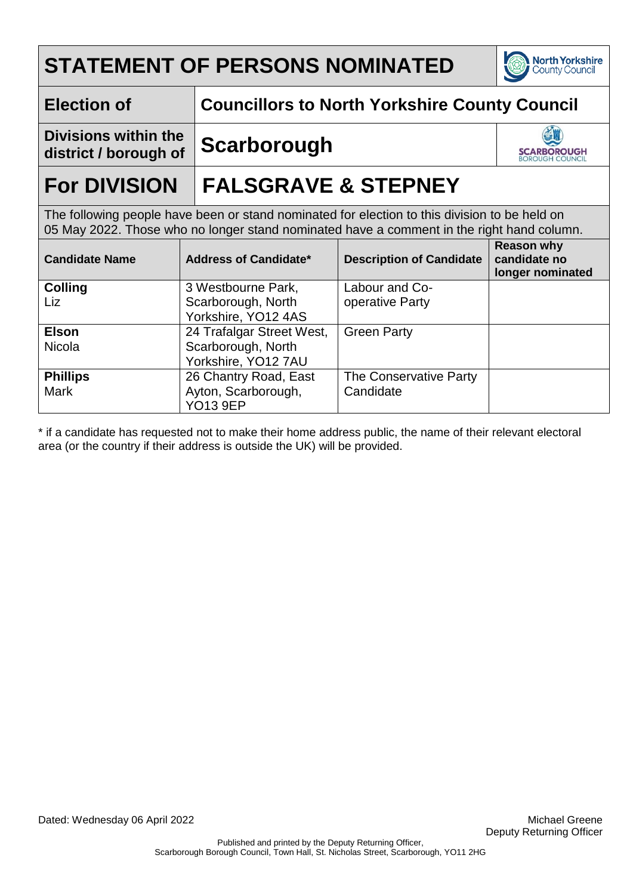

### **Election of Councillors to North Yorkshire County Council**

**Divisions within the district / borough of Scarborough**



## **For DIVISION FALSGRAVE & STEPNEY**

The following people have been or stand nominated for election to this division to be held on 05 May 2022. Those who no longer stand nominated have a comment in the right hand column.

| <b>Candidate Name</b> | <b>Address of Candidate*</b> | <b>Description of Candidate</b> | <b>Reason why</b><br>candidate no<br>longer nominated |
|-----------------------|------------------------------|---------------------------------|-------------------------------------------------------|
| <b>Colling</b>        | 3 Westbourne Park,           | Labour and Co-                  |                                                       |
| Liz                   | Scarborough, North           | operative Party                 |                                                       |
|                       | Yorkshire, YO12 4AS          |                                 |                                                       |
| <b>Elson</b>          | 24 Trafalgar Street West,    | <b>Green Party</b>              |                                                       |
| <b>Nicola</b>         | Scarborough, North           |                                 |                                                       |
|                       | Yorkshire, YO12 7AU          |                                 |                                                       |
| <b>Phillips</b>       | 26 Chantry Road, East        | The Conservative Party          |                                                       |
| <b>Mark</b>           | Ayton, Scarborough,          | Candidate                       |                                                       |
|                       | <b>YO13 9EP</b>              |                                 |                                                       |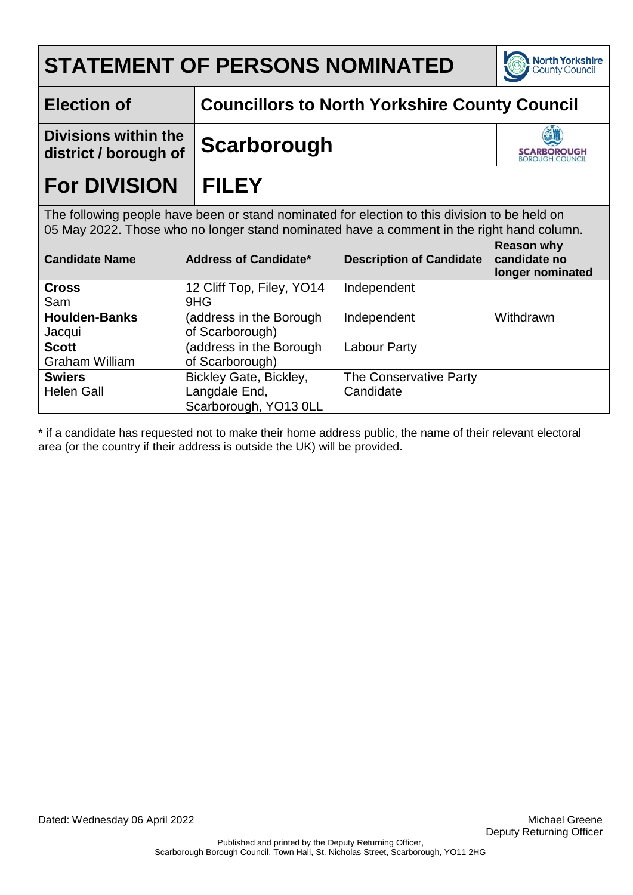

**SCARBOROUGH**<br>BOROUGH COUNCIL

**Election of Councillors to North Yorkshire County Council**

**Divisions within the district / borough of Scarborough**

## **For DIVISION FILEY**

The following people have been or stand nominated for election to this division to be held on 05 May 2022. Those who no longer stand nominated have a comment in the right hand column.

| <b>Candidate Name</b> | <b>Address of Candidate*</b> | <b>Description of Candidate</b> | <b>Reason why</b><br>candidate no<br>longer nominated |
|-----------------------|------------------------------|---------------------------------|-------------------------------------------------------|
| <b>Cross</b>          | 12 Cliff Top, Filey, YO14    | Independent                     |                                                       |
| Sam                   | 9HG                          |                                 |                                                       |
| <b>Houlden-Banks</b>  | (address in the Borough      | Independent                     | Withdrawn                                             |
| Jacqui                | of Scarborough)              |                                 |                                                       |
| <b>Scott</b>          | (address in the Borough      | Labour Party                    |                                                       |
| <b>Graham William</b> | of Scarborough)              |                                 |                                                       |
| <b>Swiers</b>         | Bickley Gate, Bickley,       | The Conservative Party          |                                                       |
| <b>Helen Gall</b>     | Langdale End,                | Candidate                       |                                                       |
|                       | Scarborough, YO13 0LL        |                                 |                                                       |

\* if a candidate has requested not to make their home address public, the name of their relevant electoral area (or the country if their address is outside the UK) will be provided.

Dated: Wednesday 06 April 2022 Michael Greene Michael Greene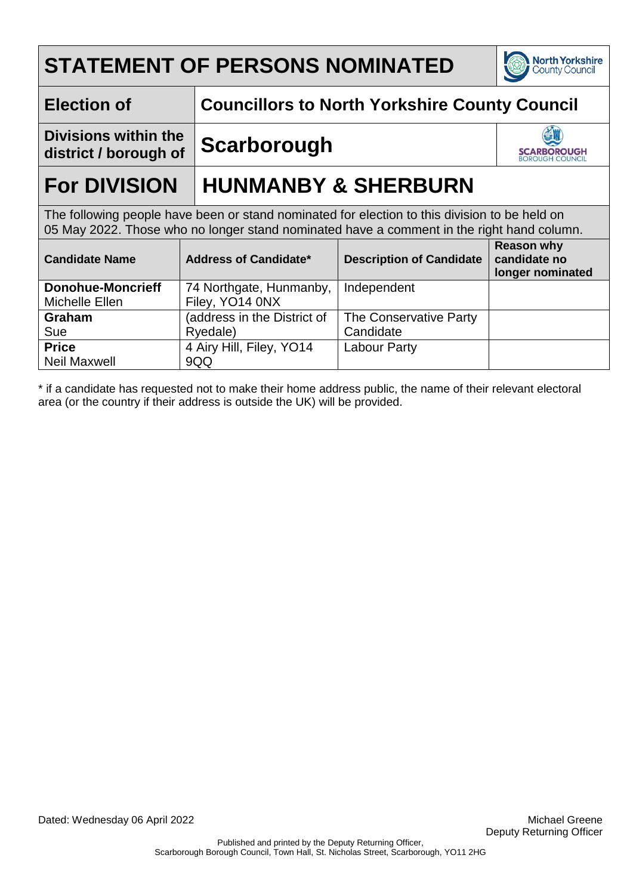

### **Election of Councillors to North Yorkshire County Council**

**Divisions within the district / borough of Scarborough**



## **For DIVISION HUNMANBY & SHERBURN**

The following people have been or stand nominated for election to this division to be held on 05 May 2022. Those who no longer stand nominated have a comment in the right hand column.

| <b>Candidate Name</b>    | <b>Address of Candidate*</b> | <b>Description of Candidate</b> | <b>Reason why</b><br>candidate no<br>longer nominated |
|--------------------------|------------------------------|---------------------------------|-------------------------------------------------------|
| <b>Donohue-Moncrieff</b> | 74 Northgate, Hunmanby,      | Independent                     |                                                       |
| Michelle Ellen           | Filey, YO14 0NX              |                                 |                                                       |
| <b>Graham</b>            | (address in the District of  | The Conservative Party          |                                                       |
| Sue                      | Ryedale)                     | Candidate                       |                                                       |
| <b>Price</b>             | 4 Airy Hill, Filey, YO14     | <b>Labour Party</b>             |                                                       |
| <b>Neil Maxwell</b>      | 9QQ                          |                                 |                                                       |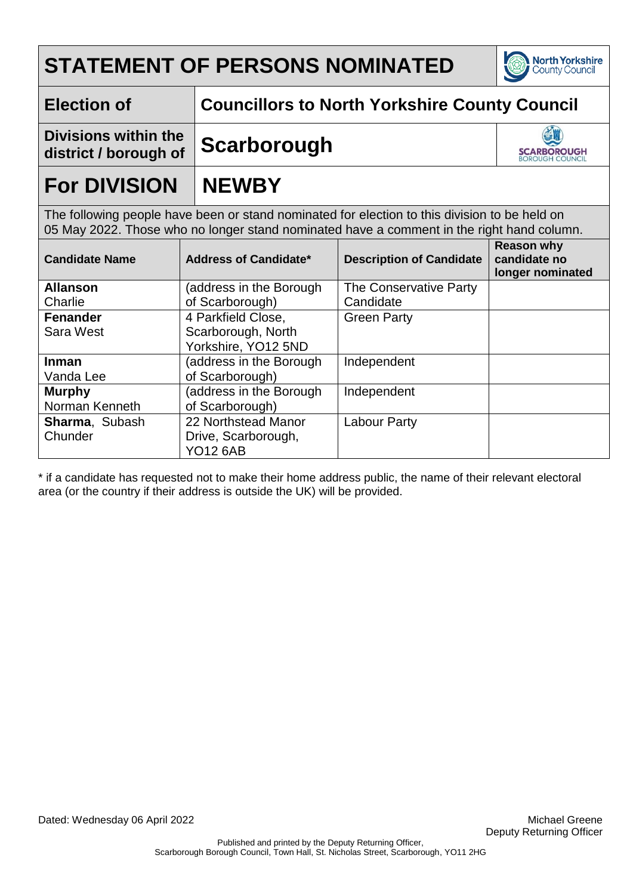

**SCARBOROUGH**<br>BOROUGH COUNCIL

**Election of Councillors to North Yorkshire County Council**

**Divisions within the district / borough of Scarborough**

# **For DIVISION NEWBY**

The following people have been or stand nominated for election to this division to be held on 05 May 2022. Those who no longer stand nominated have a comment in the right hand column.

| <b>Candidate Name</b> | Address of Candidate*   | <b>Description of Candidate</b> | <b>Reason why</b><br>candidate no<br>longer nominated |
|-----------------------|-------------------------|---------------------------------|-------------------------------------------------------|
| <b>Allanson</b>       | (address in the Borough | The Conservative Party          |                                                       |
| Charlie               | of Scarborough)         | Candidate                       |                                                       |
| <b>Fenander</b>       | 4 Parkfield Close,      | <b>Green Party</b>              |                                                       |
| Sara West             | Scarborough, North      |                                 |                                                       |
|                       | Yorkshire, YO12 5ND     |                                 |                                                       |
| <b>Inman</b>          | (address in the Borough | Independent                     |                                                       |
| Vanda Lee             | of Scarborough)         |                                 |                                                       |
| <b>Murphy</b>         | (address in the Borough | Independent                     |                                                       |
| Norman Kenneth        | of Scarborough)         |                                 |                                                       |
| Sharma, Subash        | 22 Northstead Manor     | <b>Labour Party</b>             |                                                       |
| Chunder               | Drive, Scarborough,     |                                 |                                                       |
|                       | <b>YO12 6AB</b>         |                                 |                                                       |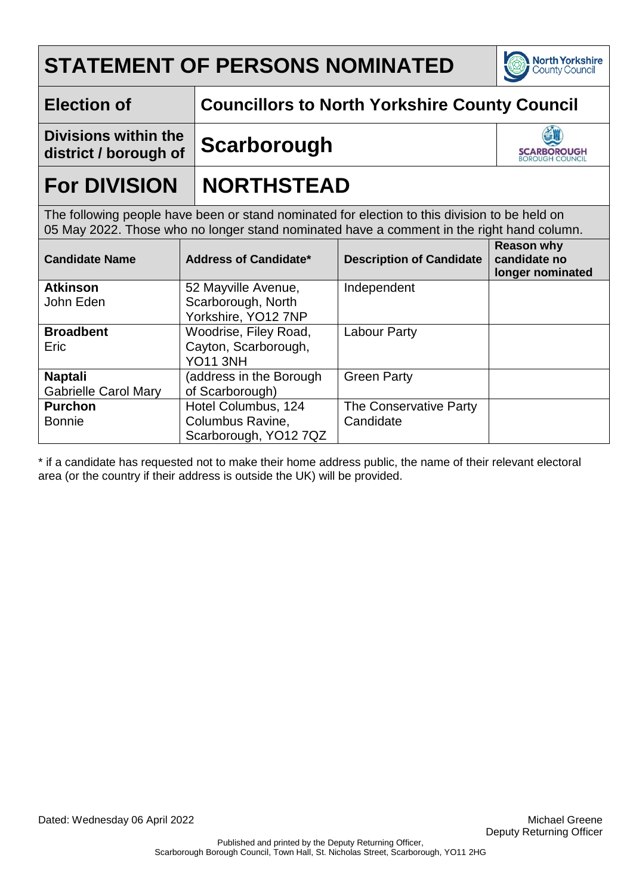

### **Election of Councillors to North Yorkshire County Council**

**Divisions within the district / borough of Scarborough**



## **For DIVISION NORTHSTEAD**

The following people have been or stand nominated for election to this division to be held on 05 May 2022. Those who no longer stand nominated have a comment in the right hand column.

| <b>Candidate Name</b>       | <b>Address of Candidate*</b> | <b>Description of Candidate</b> | <b>Reason why</b><br>candidate no<br>longer nominated |
|-----------------------------|------------------------------|---------------------------------|-------------------------------------------------------|
| <b>Atkinson</b>             | 52 Mayville Avenue,          | Independent                     |                                                       |
| John Eden                   | Scarborough, North           |                                 |                                                       |
|                             | Yorkshire, YO12 7NP          |                                 |                                                       |
| <b>Broadbent</b>            | Woodrise, Filey Road,        | <b>Labour Party</b>             |                                                       |
| Eric                        | Cayton, Scarborough,         |                                 |                                                       |
|                             | <b>YO11 3NH</b>              |                                 |                                                       |
| <b>Naptali</b>              | (address in the Borough      | <b>Green Party</b>              |                                                       |
| <b>Gabrielle Carol Mary</b> | of Scarborough)              |                                 |                                                       |
| <b>Purchon</b>              | Hotel Columbus, 124          | The Conservative Party          |                                                       |
| <b>Bonnie</b>               | Columbus Ravine,             | Candidate                       |                                                       |
|                             | Scarborough, YO12 7QZ        |                                 |                                                       |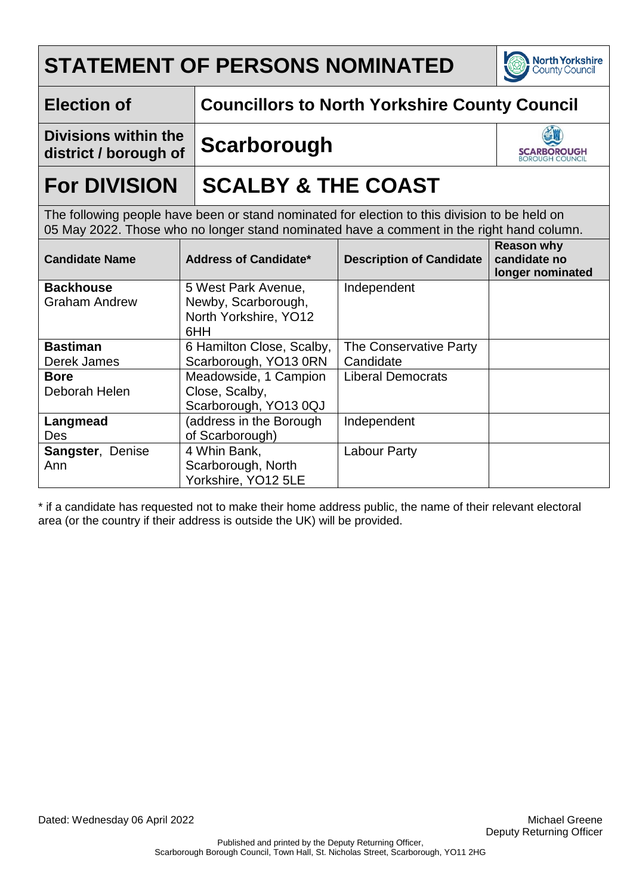

### **Election of Councillors to North Yorkshire County Council**

**Divisions within the district / borough of Scarborough**



## **For DIVISION** SCALBY & THE COAST

The following people have been or stand nominated for election to this division to be held on 05 May 2022. Those who no longer stand nominated have a comment in the right hand column.

| <b>Candidate Name</b>                    | <b>Address of Candidate*</b>                                               | <b>Description of Candidate</b> | <b>Reason why</b><br>candidate no<br>longer nominated |
|------------------------------------------|----------------------------------------------------------------------------|---------------------------------|-------------------------------------------------------|
| <b>Backhouse</b><br><b>Graham Andrew</b> | 5 West Park Avenue,<br>Newby, Scarborough,<br>North Yorkshire, YO12<br>6HH | Independent                     |                                                       |
| <b>Bastiman</b>                          | 6 Hamilton Close, Scalby,                                                  | The Conservative Party          |                                                       |
| Derek James                              | Scarborough, YO13 0RN                                                      | Candidate                       |                                                       |
| <b>Bore</b>                              | Meadowside, 1 Campion                                                      | <b>Liberal Democrats</b>        |                                                       |
| Deborah Helen                            | Close, Scalby,<br>Scarborough, YO13 0QJ                                    |                                 |                                                       |
| Langmead                                 | (address in the Borough                                                    | Independent                     |                                                       |
| <b>Des</b>                               | of Scarborough)                                                            |                                 |                                                       |
| <b>Sangster, Denise</b>                  | 4 Whin Bank,                                                               | Labour Party                    |                                                       |
| Ann                                      | Scarborough, North                                                         |                                 |                                                       |
|                                          | Yorkshire, YO12 5LE                                                        |                                 |                                                       |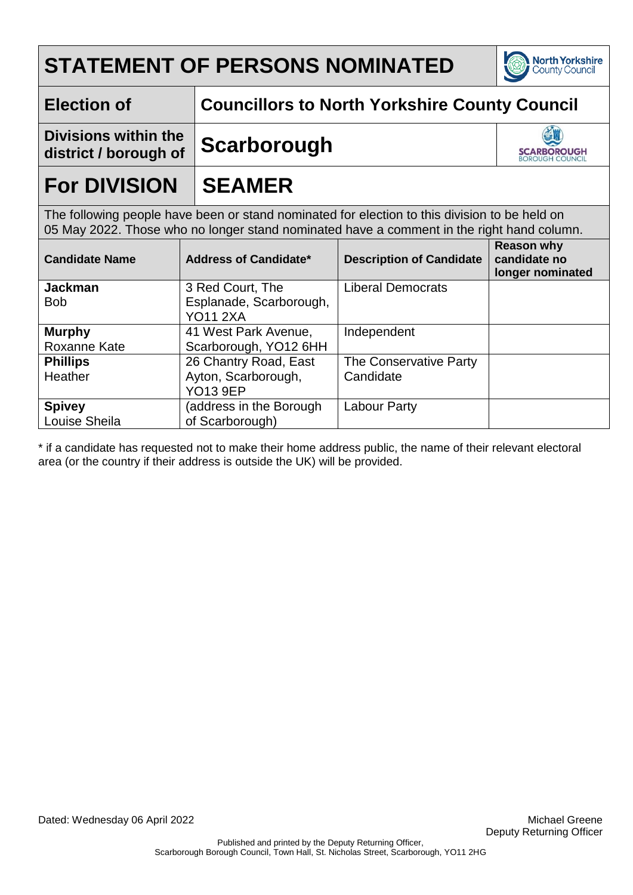

### **Election of Councillors to North Yorkshire County Council**

**Divisions within the district / borough of Scarborough**



## **For DIVISION SEAMER**

The following people have been or stand nominated for election to this division to be held on 05 May 2022. Those who no longer stand nominated have a comment in the right hand column.

| <b>Candidate Name</b>        | <b>Address of Candidate*</b>                | <b>Description of Candidate</b> | <b>Reason why</b><br>candidate no<br>longer nominated |
|------------------------------|---------------------------------------------|---------------------------------|-------------------------------------------------------|
| <b>Jackman</b><br><b>Bob</b> | 3 Red Court, The<br>Esplanade, Scarborough. | <b>Liberal Democrats</b>        |                                                       |
|                              | <b>YO11 2XA</b>                             |                                 |                                                       |
| <b>Murphy</b>                | 41 West Park Avenue,                        | Independent                     |                                                       |
| Roxanne Kate                 | Scarborough, YO12 6HH                       |                                 |                                                       |
| <b>Phillips</b>              | 26 Chantry Road, East                       | The Conservative Party          |                                                       |
| Heather                      | Ayton, Scarborough,                         | Candidate                       |                                                       |
|                              | <b>YO13 9EP</b>                             |                                 |                                                       |
| <b>Spivey</b>                | (address in the Borough                     | <b>Labour Party</b>             |                                                       |
| Louise Sheila                | of Scarborough)                             |                                 |                                                       |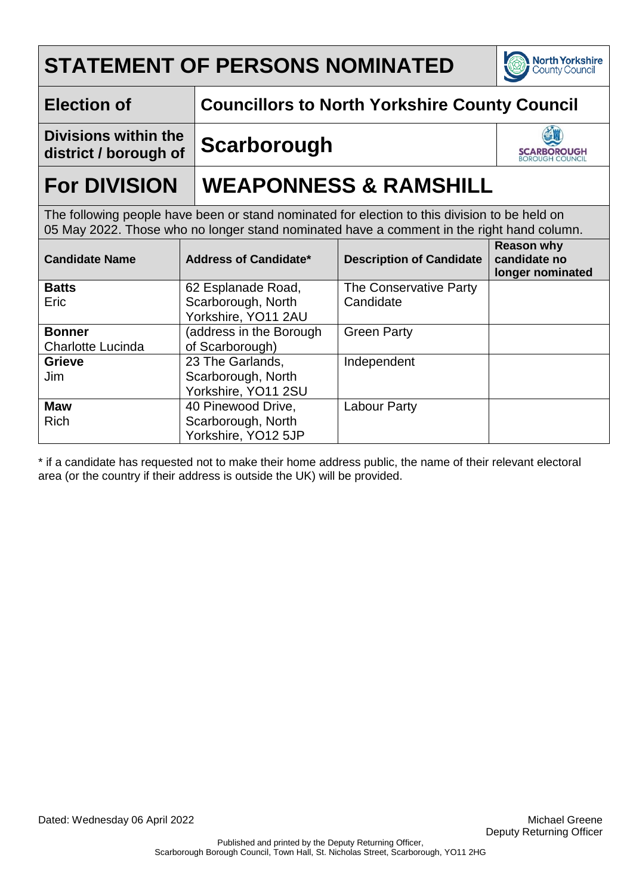

### **Election of Councillors to North Yorkshire County Council**

**Divisions within the district / borough of Scarborough**



## **For DIVISION WEAPONNESS & RAMSHILL**

The following people have been or stand nominated for election to this division to be held on 05 May 2022. Those who no longer stand nominated have a comment in the right hand column.

| <b>Candidate Name</b>    | <b>Address of Candidate*</b> | <b>Description of Candidate</b> | <b>Reason why</b><br>candidate no<br>longer nominated |
|--------------------------|------------------------------|---------------------------------|-------------------------------------------------------|
| <b>Batts</b>             | 62 Esplanade Road,           | The Conservative Party          |                                                       |
| Eric                     | Scarborough, North           | Candidate                       |                                                       |
|                          | Yorkshire, YO11 2AU          |                                 |                                                       |
| <b>Bonner</b>            | (address in the Borough      | <b>Green Party</b>              |                                                       |
| <b>Charlotte Lucinda</b> | of Scarborough)              |                                 |                                                       |
| <b>Grieve</b>            | 23 The Garlands,             | Independent                     |                                                       |
| Jim                      | Scarborough, North           |                                 |                                                       |
|                          | Yorkshire, YO11 2SU          |                                 |                                                       |
| <b>Maw</b>               | 40 Pinewood Drive,           | Labour Party                    |                                                       |
| <b>Rich</b>              | Scarborough, North           |                                 |                                                       |
|                          | Yorkshire, YO12 5JP          |                                 |                                                       |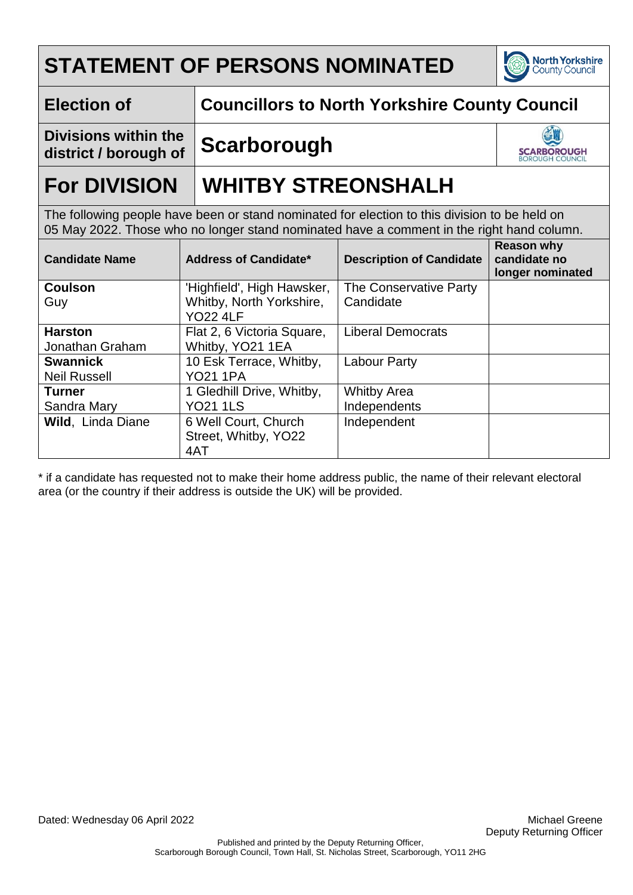

### **Election of Councillors to North Yorkshire County Council**

**Divisions within the district / borough of Scarborough**



## **For DIVISION WHITBY STREONSHALH**

The following people have been or stand nominated for election to this division to be held on 05 May 2022. Those who no longer stand nominated have a comment in the right hand column.

| <b>Candidate Name</b>    | <b>Address of Candidate*</b> | <b>Description of Candidate</b> | <b>Reason why</b><br>candidate no<br>longer nominated |
|--------------------------|------------------------------|---------------------------------|-------------------------------------------------------|
| <b>Coulson</b>           | 'Highfield', High Hawsker,   | The Conservative Party          |                                                       |
| Guy                      | Whitby, North Yorkshire,     | Candidate                       |                                                       |
|                          | <b>YO22 4LF</b>              |                                 |                                                       |
| <b>Harston</b>           | Flat 2, 6 Victoria Square,   | <b>Liberal Democrats</b>        |                                                       |
| Jonathan Graham          | Whitby, YO21 1EA             |                                 |                                                       |
| <b>Swannick</b>          | 10 Esk Terrace, Whitby,      | <b>Labour Party</b>             |                                                       |
| <b>Neil Russell</b>      | <b>YO21 1PA</b>              |                                 |                                                       |
| <b>Turner</b>            | 1 Gledhill Drive, Whitby,    | <b>Whitby Area</b>              |                                                       |
| Sandra Mary              | <b>YO21 1LS</b>              | Independents                    |                                                       |
| <b>Wild, Linda Diane</b> | 6 Well Court, Church         | Independent                     |                                                       |
|                          | Street, Whitby, YO22         |                                 |                                                       |
|                          | 4AT                          |                                 |                                                       |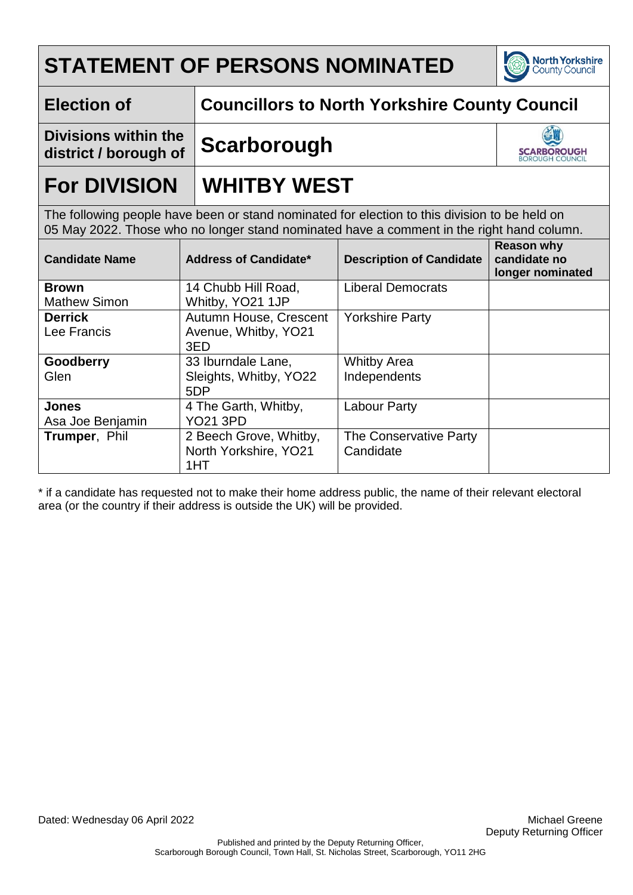

### **Election of Councillors to North Yorkshire County Council**

**Divisions within the district / borough of Scarborough**



## **For DIVISION | WHITBY WEST**

The following people have been or stand nominated for election to this division to be held on 05 May 2022. Those who no longer stand nominated have a comment in the right hand column.

| <b>Candidate Name</b> | <b>Address of Candidate*</b> | <b>Description of Candidate</b> | <b>Reason why</b><br>candidate no<br>longer nominated |
|-----------------------|------------------------------|---------------------------------|-------------------------------------------------------|
| <b>Brown</b>          | 14 Chubb Hill Road,          | <b>Liberal Democrats</b>        |                                                       |
| <b>Mathew Simon</b>   | Whitby, YO21 1JP             |                                 |                                                       |
| <b>Derrick</b>        | Autumn House, Crescent       | <b>Yorkshire Party</b>          |                                                       |
| Lee Francis           | Avenue, Whitby, YO21         |                                 |                                                       |
|                       | 3ED                          |                                 |                                                       |
| Goodberry             | 33 Iburndale Lane,           | <b>Whitby Area</b>              |                                                       |
| Glen                  | Sleights, Whitby, YO22       | Independents                    |                                                       |
|                       | 5DP                          |                                 |                                                       |
| <b>Jones</b>          | 4 The Garth, Whitby,         | Labour Party                    |                                                       |
| Asa Joe Benjamin      | <b>YO21 3PD</b>              |                                 |                                                       |
| Trumper, Phil         | 2 Beech Grove, Whitby,       | The Conservative Party          |                                                       |
|                       | North Yorkshire, YO21        | Candidate                       |                                                       |
|                       | 1HT                          |                                 |                                                       |